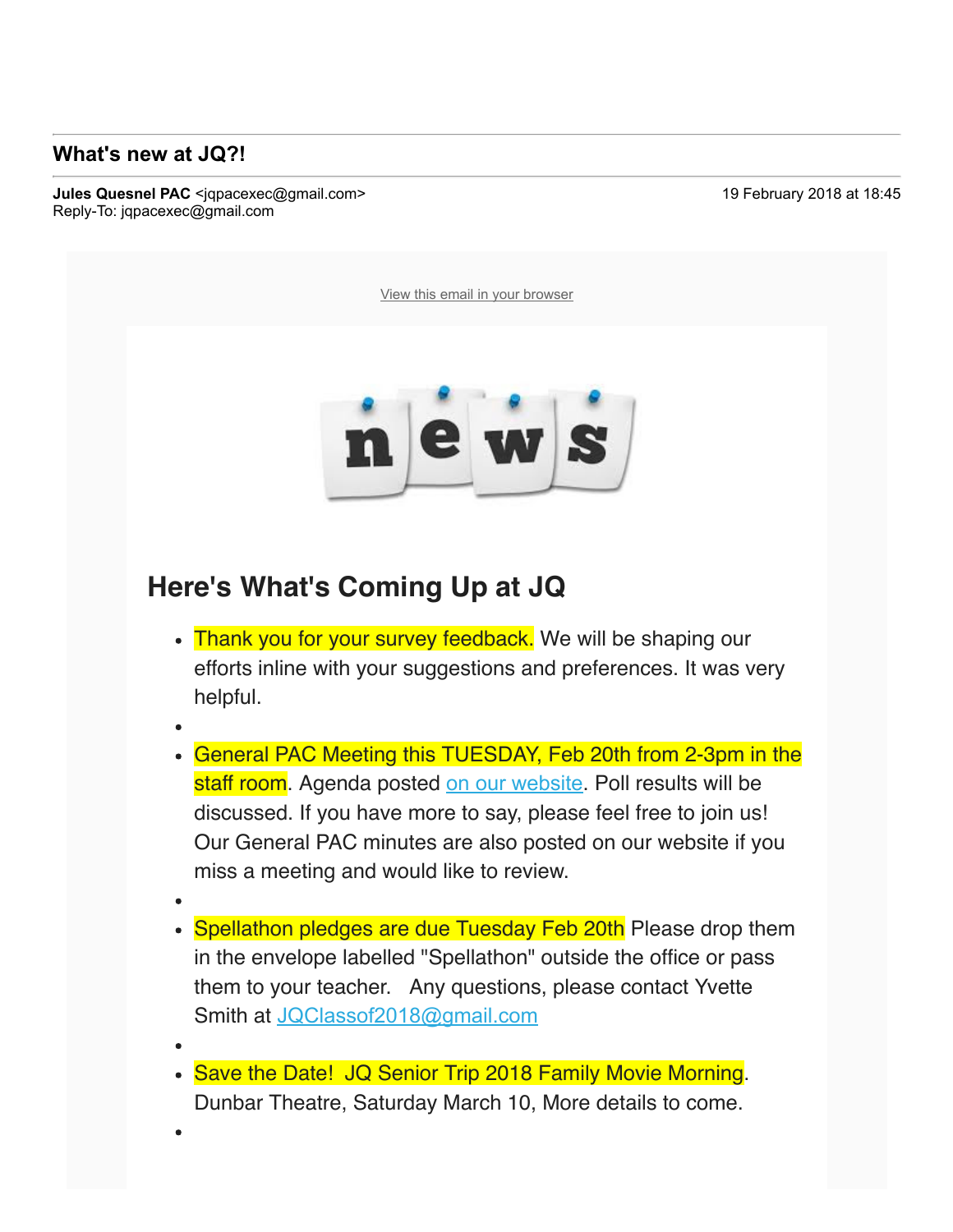## **What's new at JQ?!**

To: luvanvo@gmail.com

**Jules Quesnel PAC** <igpacexec@gmail.com> 19 November 2018 at 18:45 Reply-To: jqpacexec@gmail.com

View this email in your browser



## **Here's What's Coming Up at JQ**

- Thank you for your survey feedback. We will be shaping our efforts inline with your suggestions and preferences. It was very helpful.
- 
- General PAC Meeting this TUESDAY, Feb 20th from 2-3pm in the staff room. Agenda posted on our website. Poll results will be discussed. If you have more to say, please feel free to join us! Our General PAC minutes are also posted on our website if you miss a meeting and would like to review.
- 
- Spellathon pledges are due Tuesday Feb 20th Please drop them in the envelope labelled "Spellathon" outside the office or pass them to your teacher. Any questions, please contact Yvette Smith at JQClassof2018@gmail.com
- Save the Date! JQ Senior Trip 2018 Family Movie Morning. Dunbar Theatre, Saturday March 10, More details to come.